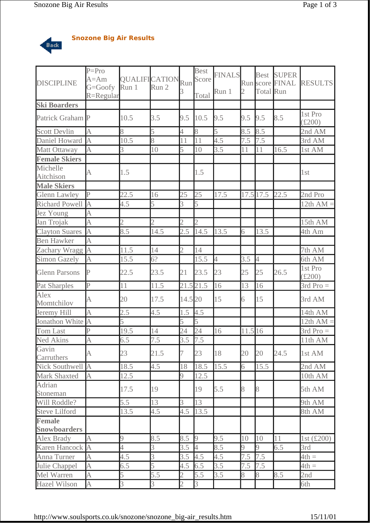

## **Snozone Big Air Results**

| <b>DISCIPLINE</b>     | $\overline{P} = \overline{P}$ ro<br>$A = Am$<br>G=Goofy<br>$R =$ Regular | <b>QUALIFICATION</b><br>Run 1 | Run 2          | Run<br>3                | <b>Best</b><br>Score<br>Total | <b>FINALS</b><br>Run 1 | 2       | <b>Best</b><br>Total Run | <b>SUPER</b><br>Run score FINAL | <b>RESULTS</b>             |
|-----------------------|--------------------------------------------------------------------------|-------------------------------|----------------|-------------------------|-------------------------------|------------------------|---------|--------------------------|---------------------------------|----------------------------|
| <b>Ski Boarders</b>   |                                                                          |                               |                |                         |                               |                        |         |                          |                                 |                            |
| Patrick Graham P      |                                                                          | 10.5                          | 3.5            | 9.5                     | 10.5                          | 9.5                    | 9.5     | 9.5                      | 8.5                             | 1st Pro<br>$(\pounds 200)$ |
| <b>Scott Devlin</b>   | A                                                                        | 8                             | 5              | 4                       | 8                             | 5                      | 8.5     | 8.5                      |                                 | 2nd AM                     |
| Daniel Howard         | $\overline{A}$                                                           | 10.5                          | 8              | 11                      | 11                            | 4.5                    | 7.5     | 7.5                      |                                 | 3rd AM                     |
| Matt Ottaway          | A                                                                        | 3                             | 10             | 5                       | 10                            | 3.5                    | 11      | 11                       | 16.5                            | 1st AM                     |
| <b>Female Skiers</b>  |                                                                          |                               |                |                         |                               |                        |         |                          |                                 |                            |
| Michelle<br>Aitchison | A                                                                        | 1.5                           |                |                         | 1.5                           |                        |         |                          |                                 | 1st                        |
| <b>Male Skiers</b>    |                                                                          |                               |                |                         |                               |                        |         |                          |                                 |                            |
| <b>Glenn Lawley</b>   | $\overline{P}$                                                           | 22.5                          | 16             | 25                      | 25                            | 17.5                   |         | 17.5 17.5                | 22.5                            | 2nd Pro                    |
| <b>Richard Powell</b> | $\overline{A}$                                                           | 4.5                           | 5              | 3                       | 5                             |                        |         |                          |                                 | 12th $AM =$                |
| Jez Young             | A                                                                        |                               |                |                         |                               |                        |         |                          |                                 |                            |
| Jan Trojak            | $\overline{A}$                                                           | $\overline{2}$                | $\overline{2}$ | $\overline{2}$          | $\overline{2}$                |                        |         |                          |                                 | 15th AM                    |
| <b>Clayton Suares</b> | $\overline{A}$                                                           | 8.5                           | 14.5           | 2.5                     | 14.5                          | 13.5                   | 6       | 13.5                     |                                 | 4th Am                     |
| <b>Ben Hawker</b>     | A                                                                        |                               |                |                         |                               |                        |         |                          |                                 |                            |
| Zachary Wragg A       |                                                                          | 11.5                          | 14             | $\overline{2}$          | 14                            |                        |         |                          |                                 | 7th AM                     |
| <b>Simon Gazely</b>   | A                                                                        | 15.5                          | 6?             |                         | 15.5                          | $\overline{4}$         | 3.5     | 4                        |                                 | 6th AM                     |
| <b>Glenn Parsons</b>  | $\overline{P}$                                                           | 22.5                          | 23.5           | 21                      | 23.5                          | 23                     | 25      | 25                       | 26.5                            | 1st Pro<br>$(\pounds 200)$ |
| Pat Sharples          | $\overline{P}$                                                           | 11                            | 11.5           |                         | 21.5 21.5                     | 16                     | 13      | 16                       |                                 | $3rd$ Pro $=$              |
| Alex<br>Momtchilov    | A                                                                        | 20                            | 17.5           | 14.5 20                 |                               | 15                     | 6       | 15                       |                                 | 3rd AM                     |
| Jeremy Hill           | $\overline{A}$                                                           | 2.5                           | 4.5            | 1.5                     | 4.5                           |                        |         |                          |                                 | 14th AM                    |
| Jonathon White        | $\overline{\mathsf{A}}$                                                  | 5                             |                | 5                       | $\overline{5}$                |                        |         |                          |                                 | $12th AM =$                |
| Tom Last              | P                                                                        | 19.5                          | 14             | 24                      | 24                            | 16                     | 11.5 16 |                          |                                 | $3rd$ Pro $=$              |
| <b>Ned Akins</b>      | $\overline{A}$                                                           | 6.5                           | 7.5            | 3.5                     | 7.5                           |                        |         |                          |                                 | 11th AM                    |
| Gavin<br>Carruthers   | А                                                                        | 23                            | 21.5           | 7                       | 23                            | 18                     | 20      | 20                       | 24.5                            | 1st AM                     |
| Nick Southwell        | $\overline{A}$                                                           | $\overline{18.5}$             | 4.5            | 18                      | 18.5                          | 15.5                   | 6       | 15.5                     |                                 | 2nd $AM$                   |
| <b>Mark Shaxted</b>   | A                                                                        | 12.5                          |                | 9                       | 12.5                          |                        |         |                          |                                 | 10th AM                    |
| Adrian<br>Stoneman    |                                                                          | 17.5                          | 19             |                         | 19                            | 5.5                    | 8       | 8                        |                                 | 5th AM                     |
| Will Roddle?          |                                                                          | 5.5                           | 13             | $\overline{\mathbf{3}}$ | 13                            |                        |         |                          |                                 | 9th AM                     |
| <b>Steve Lilford</b>  |                                                                          | 13.5                          | 4.5            | 4.5                     | 13.5                          |                        |         |                          |                                 | 8th AM                     |
| <b>Female</b>         |                                                                          |                               |                |                         |                               |                        |         |                          |                                 |                            |
| <b>Snowboarders</b>   |                                                                          |                               |                |                         |                               |                        |         |                          |                                 |                            |
| Alex Brady            | A                                                                        | 9                             | 8.5            | 8.5                     | 9                             | 9.5                    | 10      | 10                       | 11                              | 1st (£200)                 |
| Karen Hancock         | $\overline{A}$                                                           | $\overline{4}$                | 3              | 3.5                     | $\overline{4}$                | 8.5                    | 9       | 9                        | 6.5                             | 3rd                        |
| Anna Turner           | $\overline{A}$                                                           | 4.5                           | 3              | 3.5                     | 4.5                           | 4.5                    | 7.5     | 7.5                      |                                 | $4th =$                    |
| Julie Chappel         | A                                                                        | 6.5                           | 5              | 4.5                     | 6.5                           | 3.5                    | 7.5     | 7.5                      |                                 | $4th =$                    |
| Mel Warren            | $\overline{A}$                                                           | 5                             | 5.5            | $\overline{2}$          | 5.5                           | 3.5                    | 8       | 8                        | 8.5                             | 2nd                        |
| <b>Hazel Wilson</b>   | $\overline{A}$                                                           | $\overline{3}$                | 3              | $\overline{2}$          | $\overline{3}$                |                        |         |                          |                                 | 6th                        |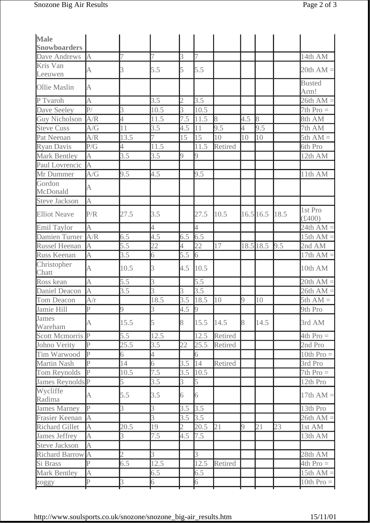| Male<br><b>Snowboarders</b> |                         |                 |                  |                |                  |         |             |           |      |                       |
|-----------------------------|-------------------------|-----------------|------------------|----------------|------------------|---------|-------------|-----------|------|-----------------------|
| Dave Andrews                | A                       | 7               | 7                | 3              | 7                |         |             |           |      | 14th AM               |
| Kris Van<br>Leeuwen         | A                       | 3               | 5.5              | 5              | 5.5              |         |             |           |      | $20th AM =$           |
| <b>Ollie Maslin</b>         | A                       |                 |                  |                |                  |         |             |           |      | <b>Busted</b><br>Arm! |
| P Tvaroh                    | A                       |                 | 3.5              | $\overline{2}$ | 3.5              |         |             |           |      | $26th AM =$           |
| Dave Seeley                 | $\overline{P}$ /        | 3               | 10.5             | 3              | 10.5             |         |             |           |      | $7th$ Pro $=$         |
| <b>Guy Nicholson</b>        | A/R                     | 4               | 11.5             | 7.5            | 11.5             | 8       | 4.5         | 8         |      | 8th AM                |
| <b>Steve Cuss</b>           | A/G                     | $\overline{11}$ | $\overline{3.5}$ | 4.5            | 11               | 9.5     | 4           | 9.5       |      | 7th AM                |
| Pat Neenan                  | A/R                     | 13.5            | 7                | 15             | 15               | 10      | 10          | 10        |      | $5th AM =$            |
| <b>Ryan Davis</b>           | P/G                     | 4               | 11.5             |                | 11.5             | Retired |             |           |      | 6th Pro               |
| <b>Mark Bentley</b>         | $\overline{A}$          | 3.5             | 3.5              | 9              | 9                |         |             |           |      | 12th AM               |
| Paul Lovrencic              | $\overline{A}$          |                 |                  |                |                  |         |             |           |      |                       |
| Mr Dummer                   | A/G                     | 9.5             | 4.5              |                | 9.5              |         |             |           |      | 11th AM               |
| Gordon<br>McDonald          | A                       |                 |                  |                |                  |         |             |           |      |                       |
| <b>Steve Jackson</b>        | A                       |                 |                  |                |                  |         |             |           |      |                       |
| <b>Elliot Neave</b>         | P/R                     | 27.5            | 3.5              |                | 27.5             | 10.5    | $16.5$ 16.5 |           | 18.5 | 1st Pro<br>(f400)     |
| <b>Emil Taylor</b>          | A                       |                 | 4                |                | $\overline{4}$   |         |             |           |      | 24th $AM =$           |
| Damien Turner               | $\overline{A/R}$        | 6.5             | 4.5              | 6.5            | 6.5              |         |             |           |      | 15th AM =             |
| <b>Russel Heenan</b>        | A                       | 5.5             | 22               | 4              | 22               | 17      |             | 18.5 18.5 | 9.5  | 2nd AM                |
| Russ Keenan                 | A                       | 3.5             | б                | 5.5            | 6                |         |             |           |      | 17th AM:              |
| Christopher<br>Chatt        | A                       | 10.5            | 3                | 4.5            | 10.5             |         |             |           |      | 10th AM               |
| Ross kean                   | A                       | 5.5             | 3                |                | 5.5              |         |             |           |      | $20th AM =$           |
| <b>Daniel Deacon</b>        | A                       | 3.5             | 3                | 3              | $\overline{3.5}$ |         |             |           |      | $26th AM =$           |
| Tom Deacon                  | A/r                     |                 | 18.5             | 3.5            | 18.5             | 10      | 9           | 10        |      | $5th AM =$            |
| Jamie Hill                  | $\overline{P}$          | <sup>o</sup>    | 3                | 4.5            | $\overline{9}$   |         |             |           |      | 9th Pro               |
| James<br>Wareham            | A                       | 15.5            | 5                | 8              | 15.5             | 14.5    | 8           | 14.5      |      | 3rd AM                |
| <b>Scott Mcmorris P</b>     |                         | 5.5             | 12.5             |                | 12.5             | Retired |             |           |      | $4th$ Pro $=$         |
| Johno Verity                | $\overline{P}$          | 25.5            | 3.5              | 22             | 25.5             | Retired |             |           |      | 2nd Pro               |
| Tim Warwood                 | $\overline{P}$          | б               | 4                |                | 6                |         |             |           |      | 10th $Pro =$          |
| <b>Martin Nash</b>          | P                       | 14              | 6                | 3.5            | 14               | Retired |             |           |      | 3rd Pro               |
| Tom Reynolds                | $\overline{P}$          | 10.5            | 7.5              | 3.5            | 10.5             |         |             |           |      | $7th$ Pro $=$         |
| James Reynolds <sup>P</sup> |                         | 5               | 3.5              | 3              | 5                |         |             |           |      | 12th Pro              |
| Wycliffe<br>Radima          | A                       | 5.5             | 3.5              | 6              | 6                |         |             |           |      | 17th $AM =$           |
| James Marney                | P                       | 3               | 3                | 3.5            | 3.5              |         |             |           |      | 13th Pro              |
| Frasier Keenan              | $\overline{A}$          |                 | 3                | 3.5            | 3.5              |         |             |           |      | $26th AM =$           |
| <b>Richard Gillet</b>       | A                       | 20.5            | 19               | $\overline{2}$ | 20.5             | 21      | 9           | 21        | 23   | 1st AM                |
| James Jeffrey               | A                       | 3               | 7.5              | 4.5            | 7.5              |         |             |           |      | 13th AM               |
| <b>Steve Jackson</b>        | A                       |                 |                  |                |                  |         |             |           |      |                       |
| Richard Barrow A            |                         | $\overline{2}$  | 3                |                | 3                |         |             |           |      | 28th AM               |
| Si Brass                    | $\overline{P}$          | 6.5             | 12.5             |                | 12.5             | Retired |             |           |      | $4th$ Pro $=$         |
| <b>Mark Bentley</b>         | A                       |                 | 6.5              |                | 6.5              |         |             |           |      | 15th $AM =$           |
| zoggy                       | $\overline{\mathrm{P}}$ | $\overline{3}$  | 6                |                | 6                |         |             |           |      | 10th $Pro =$          |